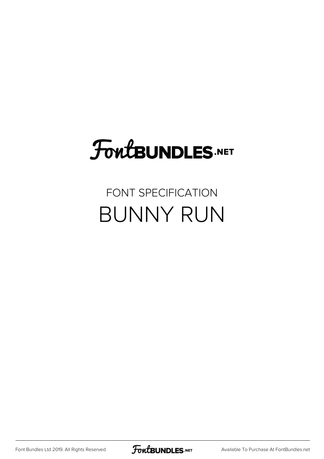# **FoutBUNDLES.NET**

#### FONT SPECIFICATION BUNNY RUN

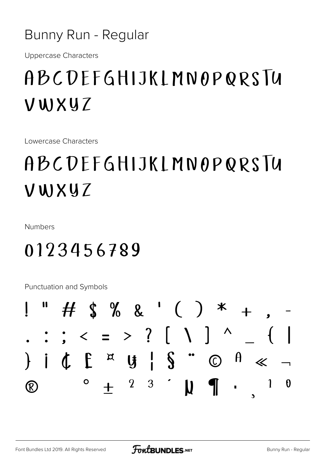#### Bunny Run - Regular

**Uppercase Characters** 

## ABCDEFGHIJKLMNOPQRSIU VWXYZ

Lowercase Characters

## ABCDEFGHIJKLMNOPQRSTU VWXYZ

Numbers

### 0123456789

Punctuation and Symbols

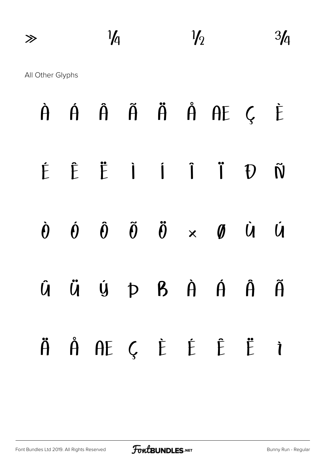| $\gg$            | $\frac{1}{4}$ | $\frac{1}{2}$ | $\overline{21}$ |
|------------------|---------------|---------------|-----------------|
| All Other Glyphs |               |               |                 |

|  |  |  | À Á Â Ã Ä Å AE Ç È                                                                                            |  |
|--|--|--|---------------------------------------------------------------------------------------------------------------|--|
|  |  |  | É Ë Ë İ İ Ï Ü Ñ                                                                                               |  |
|  |  |  | $\dot{\theta}$ $\dot{\theta}$ $\ddot{\theta}$ $\ddot{\theta}$ $\times$ $\theta$ $\dot{\theta}$ $\dot{\theta}$ |  |
|  |  |  | Û Ü Ú Þ B À Á Â Ã                                                                                             |  |
|  |  |  | ÄÅÆÇĖĖËÌ                                                                                                      |  |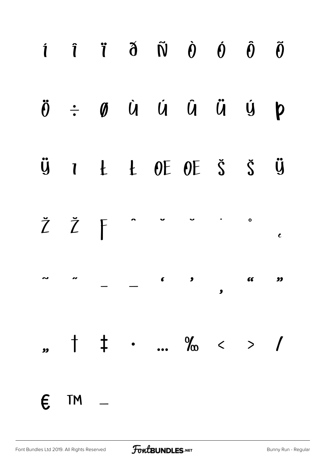